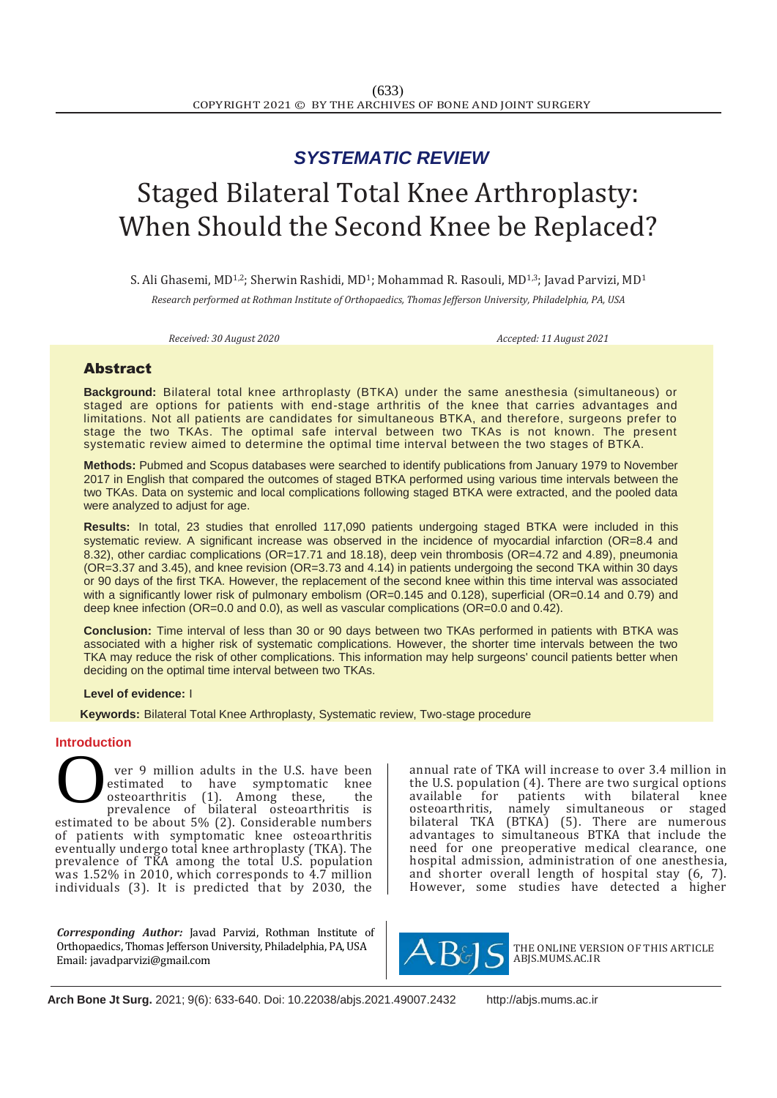## *SYSTEMATIC REVIEW*

# Staged Bilateral Total Knee Arthroplasty: When Should the Second Knee be Replaced?

S. Ali Ghasemi, MD<sup>1,2</sup>; Sherwin Rashidi, MD<sup>1</sup>; Mohammad R. Rasouli, MD<sup>1,3</sup>; Javad Parvizi, MD<sup>1</sup>

*Research performed at Rothman Institute of Orthopaedics, Thomas Jefferson University, Philadelphia, PA, USA*

*Received: 30 August 2020 Accepted: 11 August 2021*

### Abstract

**Background:** Bilateral total knee arthroplasty (BTKA) under the same anesthesia (simultaneous) or staged are options for patients with end-stage arthritis of the knee that carries advantages and limitations. Not all patients are candidates for simultaneous BTKA, and therefore, surgeons prefer to stage the two TKAs. The optimal safe interval between two TKAs is not known. The present systematic review aimed to determine the optimal time interval between the two stages of BTKA.

**Methods:** Pubmed and Scopus databases were searched to identify publications from January 1979 to November 2017 in English that compared the outcomes of staged BTKA performed using various time intervals between the two TKAs. Data on systemic and local complications following staged BTKA were extracted, and the pooled data were analyzed to adjust for age.

**Results:** In total, 23 studies that enrolled 117,090 patients undergoing staged BTKA were included in this systematic review. A significant increase was observed in the incidence of myocardial infarction (OR=8.4 and 8.32), other cardiac complications (OR=17.71 and 18.18), deep vein thrombosis (OR=4.72 and 4.89), pneumonia (OR=3.37 and 3.45), and knee revision (OR=3.73 and 4.14) in patients undergoing the second TKA within 30 days or 90 days of the first TKA. However, the replacement of the second knee within this time interval was associated with a significantly lower risk of pulmonary embolism (OR=0.145 and 0.128), superficial (OR=0.14 and 0.79) and deep knee infection (OR=0.0 and 0.0), as well as vascular complications (OR=0.0 and 0.42).

**Conclusion:** Time interval of less than 30 or 90 days between two TKAs performed in patients with BTKA was associated with a higher risk of systematic complications. However, the shorter time intervals between the two TKA may reduce the risk of other complications. This information may help surgeons' council patients better when deciding on the optimal time interval between two TKAs.

#### **Level of evidence:** I

 **Keywords:** Bilateral Total Knee Arthroplasty, Systematic review, Two-stage procedure

#### **Introduction**

ver 9 million adults in the U.S. have been estimated to have symptomatic osteoarthritis (1). Among these, the prevalence of bilateral osteoarthritis is estimated to be about 5% (2). Considerable numbers of patients with symptomatic knee osteoarthritis eventually undergo total knee arthroplasty (TKA). The prevalence of TKA among the total U.S. population was 1.52% in 2010, which corresponds to 4.7 million individuals (3). It is predicted that by 2030, the O

*Corresponding Author:* Javad Parvizi, Rothman Institute of Orthopaedics, Thomas Jefferson University, Philadelphia, PA, USA Email: javadparvizi@gmail.com

annual rate of TKA will increase to over 3.4 million in the U.S. population (4). There are two surgical options<br>available for patients with bilateral knee available for patients with bilateral knee<br>osteoarthritis, namely simultaneous or staged simultaneous or bilateral TKA (BTKA) (5). There are numerous advantages to simultaneous BTKA that include the need for one preoperative medical clearance, one hospital admission, administration of one anesthesia, and shorter overall length of hospital stay (6, 7). However, some studies have detected a higher



THE ONLINE VERSION OF THIS ARTICLE ABJS.MUMS.AC.IR

**Arch Bone Jt Surg.** 2021; 9(6): 633-640. Doi: 10.22038/abjs.2021.49007.2432 [http://abjs.mums.ac.ir](http://abjs.mums.ac.ir/)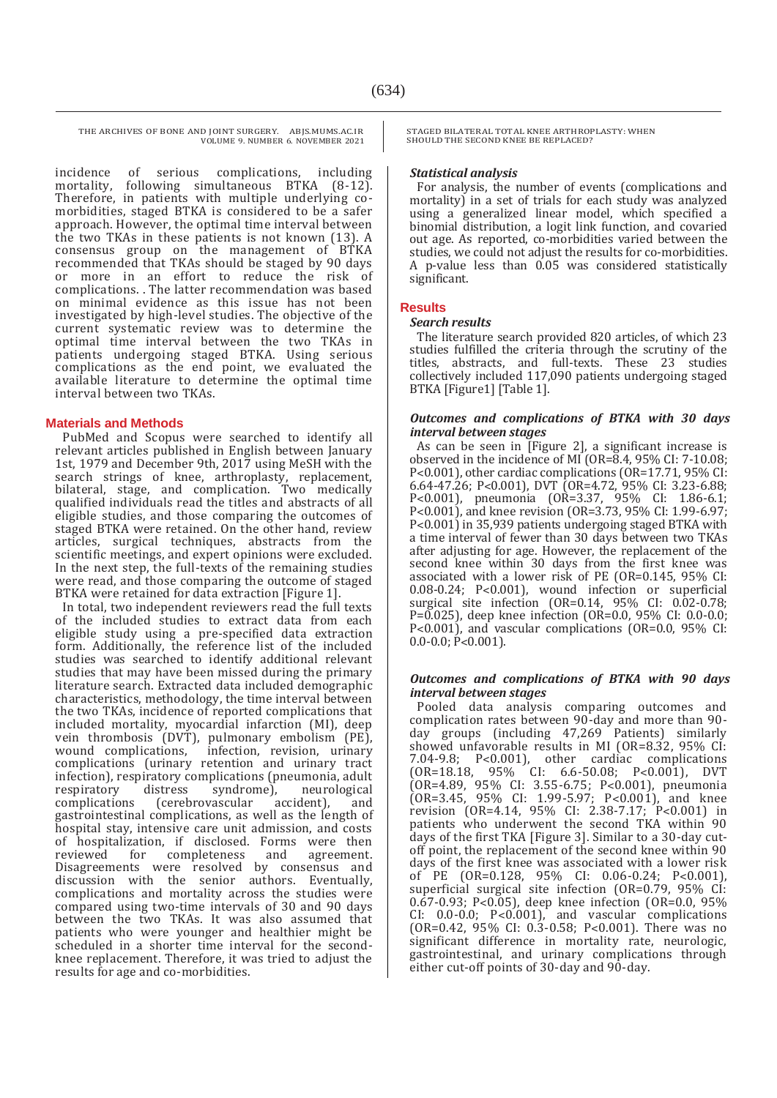incidence of serious complications, including<br>mortality, following simultaneous BTKA (8-12). following simultaneous BTKA (8-12). Therefore, in patients with multiple underlying comorbidities, staged BTKA is considered to be a safer approach. However, the optimal time interval between the two TKAs in these patients is not known (13). A consensus group on the management of BTKA recommended that TKAs should be staged by 90 days or more in an effort to reduce the risk of complications. . The latter recommendation was based on minimal evidence as this issue has not been investigated by high-level studies. The objective of the current systematic review was to determine the optimal time interval between the two TKAs in patients undergoing staged BTKA. Using serious complications as the end point, we evaluated the available literature to determine the optimal time interval between two TKAs.

#### **Materials and Methods**

PubMed and Scopus were searched to identify all relevant articles published in English between January 1st, 1979 and December 9th, 2017 using MeSH with the search strings of knee, arthroplasty, replacement, bilateral, stage, and complication. Two medically qualified individuals read the titles and abstracts of all eligible studies, and those comparing the outcomes of staged BTKA were retained. On the other hand, review articles, surgical techniques, abstracts from the scientific meetings, and expert opinions were excluded. In the next step, the full-texts of the remaining studies were read, and those comparing the outcome of staged BTKA were retained for data extraction [Figure 1].

In total, two independent reviewers read the full texts of the included studies to extract data from each eligible study using a pre-specified data extraction form. Additionally, the reference list of the included studies was searched to identify additional relevant studies that may have been missed during the primary literature search. Extracted data included demographic characteristics, methodology, the time interval between the two TKAs, incidence of reported complications that included mortality, myocardial infarction (MI), deep vein thrombosis (DVT), pulmonary embolism (PE), infection, revision, urinary complications (urinary retention and urinary tract infection), respiratory complications (pneumonia, adult respiratory distress syndrome), neurological respiratory distress syndrome), neurological<br>complications (cerebrovascular accident), and complications (cerebrovascular accident), and gastrointestinal complications, as well as the length of hospital stay, intensive care unit admission, and costs of hospitalization, if disclosed. Forms were then reviewed for completeness and Disagreements were resolved by consensus and discussion with the senior authors. Eventually, complications and mortality across the studies were compared using two-time intervals of 30 and 90 days between the two TKAs. It was also assumed that patients who were younger and healthier might be scheduled in a shorter time interval for the secondknee replacement. Therefore, it was tried to adjust the results for age and co-morbidities.

STAGED BILATERAL TOTAL KNEE ARTHROPLASTY: WHEN SHOULD THE SECOND KNEE BE REPLACED?

#### *Statistical analysis*

For analysis, the number of events (complications and mortality) in a set of trials for each study was analyzed using a generalized linear model, which specified a binomial distribution, a logit link function, and covaried out age. As reported, co-morbidities varied between the studies, we could not adjust the results for co-morbidities. A p-value less than 0.05 was considered statistically significant.

#### **Results**

#### *Search results*

The literature search provided 820 articles, of which 23 studies fulfilled the criteria through the scrutiny of the titles, abstracts, and full-texts. These 23 studies collectively included 117,090 patients undergoing staged BTKA [Figure1] [Table 1].

#### *Outcomes and complications of BTKA with 30 days interval between stages*

As can be seen in [Figure 2], a significant increase is observed in the incidence of MI (OR=8.4, 95% CI: 7-10.08; P˂0.001), other cardiac complications (OR=17.71, 95% CI: 6.64-47.26; P˂0.001), DVT (OR=4.72, 95% CI: 3.23-6.88; P˂0.001), pneumonia (OR=3.37, 95% CI: 1.86-6.1; P˂0.001), and knee revision (OR=3.73, 95% CI: 1.99-6.97; P˂0.001) in 35,939 patients undergoing staged BTKA with a time interval of fewer than 30 days between two TKAs after adjusting for age. However, the replacement of the second knee within 30 days from the first knee was associated with a lower risk of PE (OR=0.145, 95% CI: 0.08-0.24; P˂0.001), wound infection or superficial surgical site infection (OR=0.14, 95% CI: 0.02-0.78; P=0.025), deep knee infection (OR=0.0, 95% CI: 0.0-0.0; P˂0.001), and vascular complications (OR=0.0, 95% CI: 0.0-0.0; P˂0.001).

#### *Outcomes and complications of BTKA with 90 days interval between stages*

Pooled data analysis comparing outcomes and complication rates between 90-day and more than 90 day groups (including 47,269 Patients) similarly showed unfavorable results in MI (OR=8.32, 95% CI: 7.04-9.8; P˂0.001), other cardiac complications (OR=18.18, 95% CI: 6.6-50.08; P˂0.001), DVT (OR=4.89, 95% CI: 3.55-6.75; P˂0.001), pneumonia (OR=3.45, 95% CI: 1.99-5.97; P˂0.001), and knee revision (OR=4.14, 95% CI: 2.38-7.17; P˂0.001) in patients who underwent the second TKA within 90 days of the first TKA [Figure 3]. Similar to a 30-day cutoff point, the replacement of the second knee within 90 days of the first knee was associated with a lower risk of PE (OR=0.128, 95% CI: 0.06-0.24; P˂0.001), superficial surgical site infection (OR=0.79, 95% CI: 0.67-0.93; P˂0.05), deep knee infection (OR=0.0, 95% CI: 0.0-0.0; P˂0.001), and vascular complications (OR=0.42, 95% CI: 0.3-0.58; P˂0.001). There was no significant difference in mortality rate, neurologic, gastrointestinal, and urinary complications through either cut-off points of 30-day and 90-day.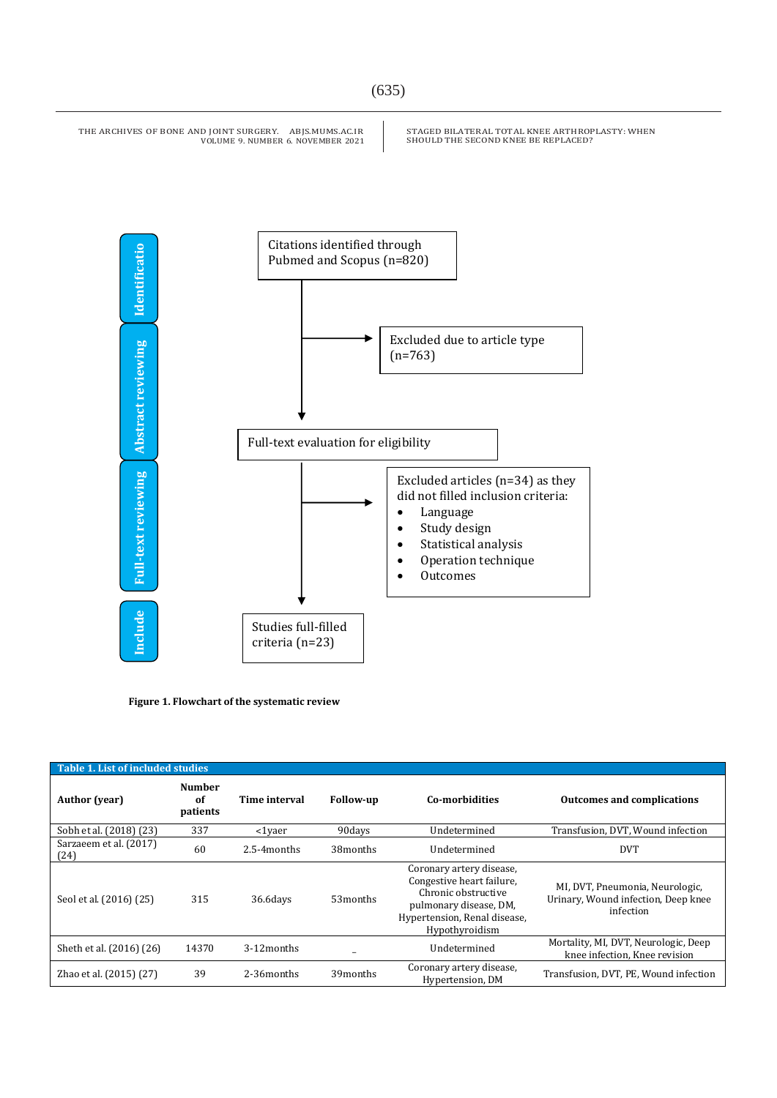STAGED BILATERAL TOTAL KNEE ARTHROPLASTY: WHEN SHOULD THE SECOND KNEE BE REPLACED?



**Figure 1. Flowchart of the systematic review** 

| <b>Table 1. List of included studies</b> |                                 |               |                      |                                                                                                                                                          |                                                                                     |  |  |  |  |
|------------------------------------------|---------------------------------|---------------|----------------------|----------------------------------------------------------------------------------------------------------------------------------------------------------|-------------------------------------------------------------------------------------|--|--|--|--|
| <b>Author</b> (year)                     | <b>Number</b><br>of<br>patients | Time interval | <b>Follow-up</b>     | Co-morbidities                                                                                                                                           | <b>Outcomes and complications</b>                                                   |  |  |  |  |
| Sobh et al. (2018) (23)                  | 337                             | <1vaer        | 90days               | Undetermined                                                                                                                                             | Transfusion, DVT, Wound infection                                                   |  |  |  |  |
| Sarzaeem et al. (2017)<br>(24)           | 60                              | 2.5-4 months  | 38months             | Undetermined                                                                                                                                             | <b>DVT</b>                                                                          |  |  |  |  |
| Seol et al. (2016) (25)                  | 315                             | 36.6days      | 53 <sub>months</sub> | Coronary artery disease,<br>Congestive heart failure.<br>Chronic obstructive<br>pulmonary disease, DM,<br>Hypertension, Renal disease,<br>Hypothyroidism | MI, DVT, Pneumonia, Neurologic,<br>Urinary, Wound infection, Deep knee<br>infection |  |  |  |  |
| Sheth et al. (2016) (26)                 | 14370                           | 3-12 months   |                      | Undetermined                                                                                                                                             | Mortality, MI, DVT, Neurologic, Deep<br>knee infection. Knee revision               |  |  |  |  |
| Zhao et al. (2015) (27)                  | 39                              | 2-36 months   | 39months             | Coronary artery disease,<br>Hypertension, DM                                                                                                             | Transfusion, DVT, PE, Wound infection                                               |  |  |  |  |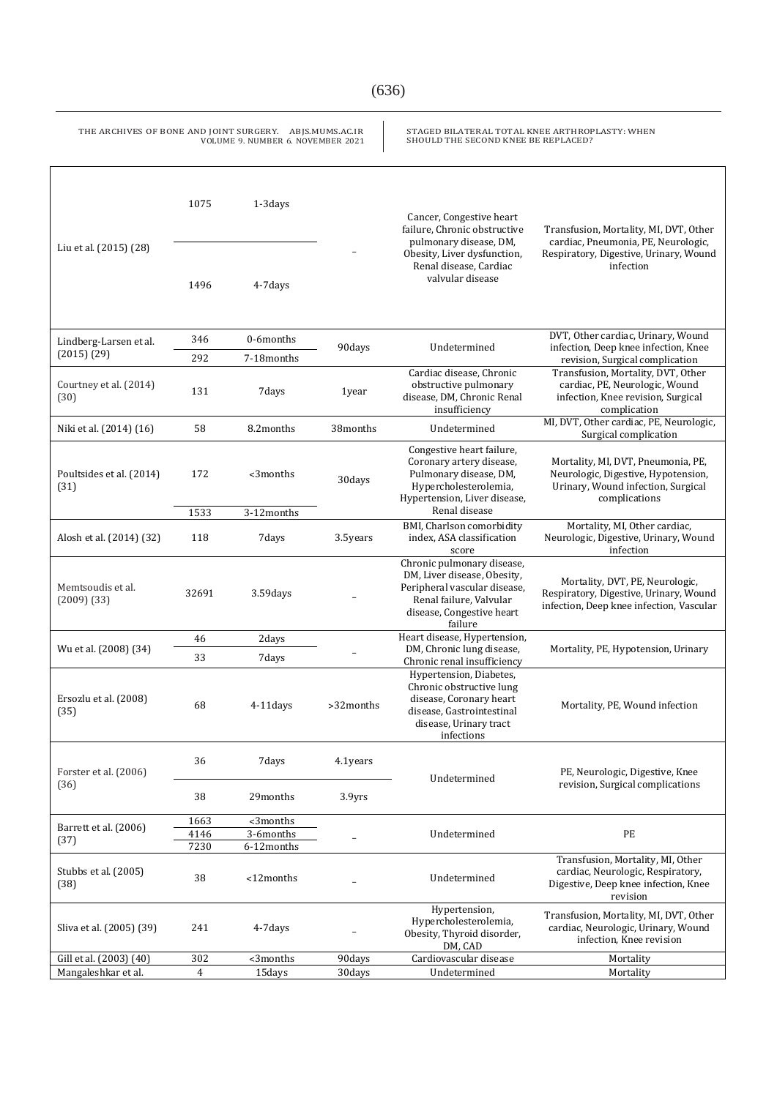| THE ARCHIVES OF BONE AND JOINT SURGERY. ABJS.MUMS.AC.IR<br>STAGED BILATERAL TOTAL KNEE ARTHROPLASTY: WHEN<br>SHOULD THE SECOND KNEE BE REPLACED?<br>VOLUME 9. NUMBER 6. NOVEMBER 2021 |              |                         |                  |                                                                                                                                                                 |                                                                                                                                      |  |  |  |
|---------------------------------------------------------------------------------------------------------------------------------------------------------------------------------------|--------------|-------------------------|------------------|-----------------------------------------------------------------------------------------------------------------------------------------------------------------|--------------------------------------------------------------------------------------------------------------------------------------|--|--|--|
| Liu et al. (2015) (28)                                                                                                                                                                | 1075         | 1-3days                 |                  | Cancer, Congestive heart<br>failure, Chronic obstructive<br>pulmonary disease, DM,<br>Obesity, Liver dysfunction,<br>Renal disease, Cardiac<br>valvular disease | Transfusion, Mortality, MI, DVT, Other<br>cardiac, Pneumonia, PE, Neurologic,<br>Respiratory, Digestive, Urinary, Wound<br>infection |  |  |  |
|                                                                                                                                                                                       | 1496         | 4-7days                 |                  |                                                                                                                                                                 |                                                                                                                                      |  |  |  |
| Lindberg-Larsen et al.<br>(2015)(29)                                                                                                                                                  | 346          | 0-6months               | 90days           | Undetermined                                                                                                                                                    | DVT, Other cardiac, Urinary, Wound<br>infection, Deep knee infection, Knee<br>revision, Surgical complication                        |  |  |  |
|                                                                                                                                                                                       | 292          | 7-18months              |                  |                                                                                                                                                                 |                                                                                                                                      |  |  |  |
| Courtney et al. (2014)<br>(30)                                                                                                                                                        | 131          | 7days                   | 1year            | Cardiac disease, Chronic<br>obstructive pulmonary<br>disease, DM, Chronic Renal<br>insufficiency                                                                | Transfusion, Mortality, DVT, Other<br>cardiac, PE, Neurologic, Wound<br>infection, Knee revision, Surgical<br>complication           |  |  |  |
| Niki et al. (2014) (16)                                                                                                                                                               | 58           | 8.2 months              | 38months         | Undetermined                                                                                                                                                    | MI, DVT, Other cardiac, PE, Neurologic,<br>Surgical complication                                                                     |  |  |  |
| Poultsides et al. (2014)<br>(31)                                                                                                                                                      | 172<br>1533  | <3months<br>3-12months  | 30days           | Congestive heart failure,<br>Coronary artery disease,<br>Pulmonary disease, DM,<br>Hypercholesterolemia,<br>Hypertension, Liver disease,<br>Renal disease       | Mortality, MI, DVT, Pneumonia, PE,<br>Neurologic, Digestive, Hypotension,<br>Urinary, Wound infection, Surgical<br>complications     |  |  |  |
| Alosh et al. (2014) (32)                                                                                                                                                              | 118          | 7days                   | 3.5years         | BMI, Charlson comorbidity<br>index, ASA classification<br>score                                                                                                 | Mortality, MI, Other cardiac,<br>Neurologic, Digestive, Urinary, Wound<br>infection                                                  |  |  |  |
| Memtsoudis et al.<br>$(2009)$ $(33)$                                                                                                                                                  | 32691        | $3.59$ days             |                  | Chronic pulmonary disease,<br>DM, Liver disease, Obesity,<br>Peripheral vascular disease,<br>Renal failure, Valvular<br>disease, Congestive heart<br>failure    | Mortality, DVT, PE, Neurologic,<br>Respiratory, Digestive, Urinary, Wound<br>infection, Deep knee infection, Vascular                |  |  |  |
|                                                                                                                                                                                       | 46           | 2days                   |                  | Heart disease, Hypertension,                                                                                                                                    |                                                                                                                                      |  |  |  |
| Wu et al. (2008) (34)                                                                                                                                                                 | 33           | 7days                   |                  | DM, Chronic lung disease,<br>Chronic renal insufficiency                                                                                                        | Mortality, PE, Hypotension, Urinary                                                                                                  |  |  |  |
| Ersozlu et al. (2008)<br>(35)                                                                                                                                                         | 68           | 4-11days                | >32months        | Hypertension, Diabetes,<br>Chronic obstructive lung<br>disease, Coronary heart<br>disease, Gastrointestinal<br>disease, Urinary tract<br>infections             | Mortality, PE, Wound infection                                                                                                       |  |  |  |
| Forster et al. (2006)<br>(36)                                                                                                                                                         | 36           | 7days                   | 4.1years         | Undetermined                                                                                                                                                    | PE, Neurologic, Digestive, Knee<br>revision, Surgical complications                                                                  |  |  |  |
|                                                                                                                                                                                       | 38           | 29months                | 3.9yrs           |                                                                                                                                                                 |                                                                                                                                      |  |  |  |
| Barrett et al. (2006)<br>(37)                                                                                                                                                         | 1663         | <3months                |                  | Undetermined                                                                                                                                                    | PE                                                                                                                                   |  |  |  |
|                                                                                                                                                                                       | 4146<br>7230 | 3-6months<br>6-12months |                  |                                                                                                                                                                 |                                                                                                                                      |  |  |  |
| Stubbs et al. (2005)<br>(38)                                                                                                                                                          | 38           | <12months               |                  | Undetermined                                                                                                                                                    | Transfusion, Mortality, MI, Other<br>cardiac, Neurologic, Respiratory,<br>Digestive, Deep knee infection, Knee<br>revision           |  |  |  |
| Sliva et al. (2005) (39)                                                                                                                                                              | 241          | 4-7 days                |                  | Hypertension,<br>Hypercholesterolemia,<br>Obesity, Thyroid disorder,<br>DM, CAD                                                                                 | Transfusion, Mortality, MI, DVT, Other<br>cardiac, Neurologic, Urinary, Wound<br>infection, Knee revision                            |  |  |  |
| Gill et al. (2003) (40)<br>Mangaleshkar et al.                                                                                                                                        | 302<br>4     | <3months<br>15days      | 90days<br>30days | Cardiovascular disease<br>Undetermined                                                                                                                          | Mortality<br>Mortality                                                                                                               |  |  |  |
|                                                                                                                                                                                       |              |                         |                  |                                                                                                                                                                 |                                                                                                                                      |  |  |  |

(636)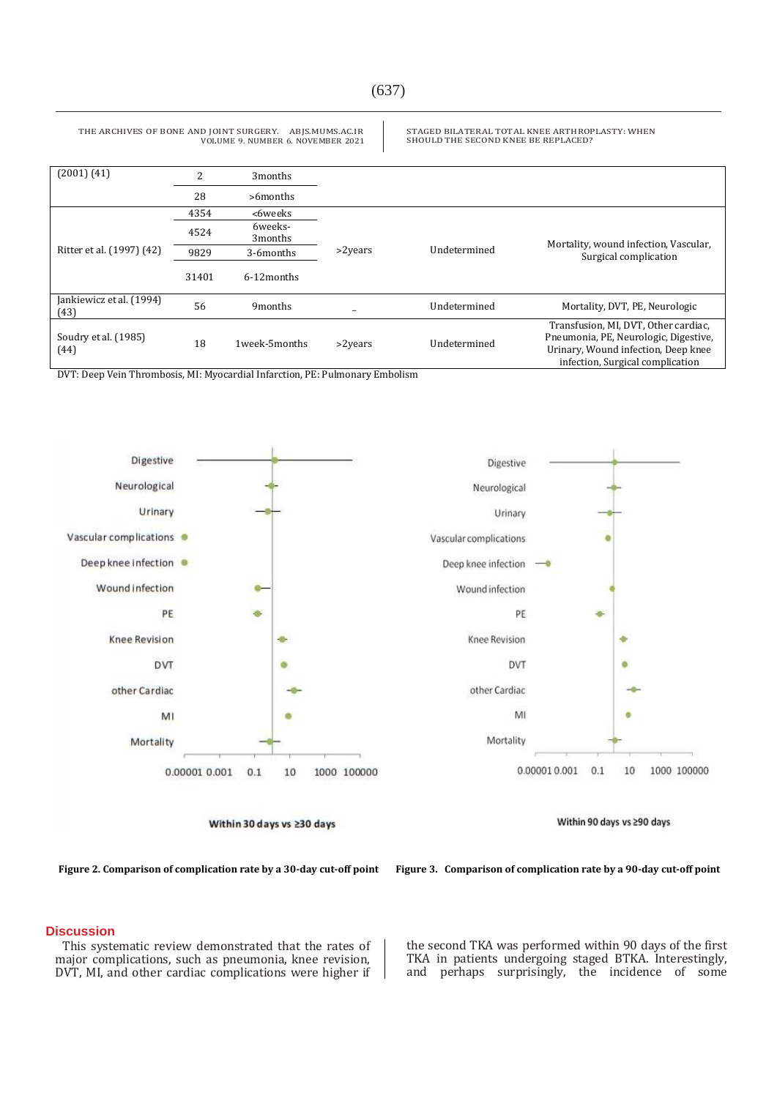STAGED BILATERAL TOTAL KNEE ARTHROPLASTY: WHEN

SHOULD THE SECOND KNEE BE REPLACED?

(2001) (41) 2 3months 28 >6months Ritter et al. (1997) (42) 4354 ˂6weeks ˃2years Undetermined Mortality, wound infection, Vascular, Surgical complication 4524 6weeks-3months 9829 3-6months 31401 6-12months Jankiewicz et al. (1994) (43) <sup>56</sup> 9months \_ Undetermined Mortality, DVT, PE, Neurologic Soudry et al. (1985) (44) <sup>18</sup> 1week-5months ˃2years Undetermined Transfusion, MI, DVT, Other cardiac, Pneumonia, PE, Neurologic, Digestive, Urinary, Wound infection, Deep knee infection, Surgical complication

DVT: Deep Vein Thrombosis, MI: Myocardial Infarction, PE: Pulmonary Embolism

THE ARCHIVES OF BONE AND JOINT SURGERY. ABJS.MUMS.AC.IR

VOLUME 9. NUMBER 6. NOVEMBER 2021

Digestive Digestive Neurological Neurological Urinary Urinary Vascular complications Vascular complications Deep knee infection Deep knee infection Wound infection Wound infection PE PE **Knee Revision** Knee Revision DVT DVT other Cardiac other Cardiac MI MI Mortality Mortality 0.00001 0.001  $0.1$ 10 1000 100000 0.000010.001  $0.1$ 10 1000 100000

Within 30 days vs ≥30 days

Within 90 days vs ≥90 days

**Figure 2. Comparison of complication rate by a 30-day cut-off point Figure 3. Comparison of complication rate by a 90-day cut-off point**

This systematic review demonstrated that the rates of major complications, such as pneumonia, knee revision, DVT, MI, and other cardiac complications were higher if

the second TKA was performed within 90 days of the first TKA in patients undergoing staged BTKA. Interestingly, and perhaps surprisingly, the incidence of some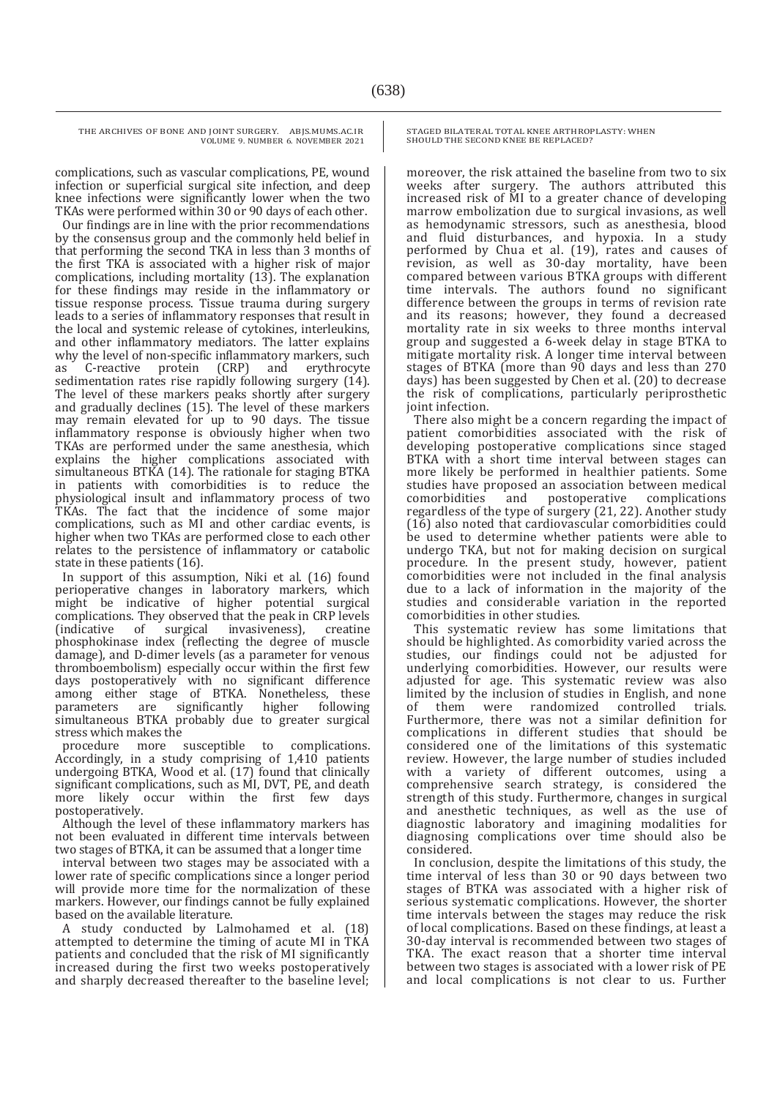complications, such as vascular complications, PE, wound infection or superficial surgical site infection, and deep knee infections were significantly lower when the two TKAs were performed within 30 or 90 days of each other.

Our findings are in line with the prior recommendations by the consensus group and the commonly held belief in that performing the second TKA in less than 3 months of the first TKA is associated with a higher risk of major complications, including mortality (13). The explanation for these findings may reside in the inflammatory or tissue response process. Tissue trauma during surgery leads to a series of inflammatory responses that result in the local and systemic release of cytokines, interleukins, and other inflammatory mediators. The latter explains why the level of non-specific inflammatory markers, such as C-reactive protein (CRP) and erythrocyte as C-reactive protein (CRP) and erythrocyte sedimentation rates rise rapidly following surgery  $(14)$ . The level of these markers peaks shortly after surgery and gradually declines (15). The level of these markers may remain elevated for up to 90 days. The tissue inflammatory response is obviously higher when two TKAs are performed under the same anesthesia, which explains the higher complications associated with simultaneous BTKA (14). The rationale for staging BTKA in patients with comorbidities is to reduce the physiological insult and inflammatory process of two TKAs. The fact that the incidence of some major complications, such as MI and other cardiac events, is higher when two TKAs are performed close to each other relates to the persistence of inflammatory or catabolic state in these patients (16).

In support of this assumption, Niki et al. (16) found perioperative changes in laboratory markers, which might be indicative of higher potential surgical complications. They observed that the peak in CRP levels<br>(indicative of surgical invasiveness), creatine (indicative of surgical invasiveness), creatine phosphokinase index (reflecting the degree of muscle damage), and D-dimer levels (as a parameter for venous thromboembolism) especially occur within the first few days postoperatively with no significant difference among either stage of BTKA. Nonetheless, these parameters are significantly higher following simultaneous BTKA probably due to greater surgical stress which makes the

procedure more susceptible to complications. Accordingly, in a study comprising of 1,410 patients undergoing BTKA, Wood et al. (17) found that clinically significant complications, such as MI, DVT, PE, and death more likely occur within the first few days postoperatively.

Although the level of these inflammatory markers has not been evaluated in different time intervals between two stages of BTKA, it can be assumed that a longer time

interval between two stages may be associated with a lower rate of specific complications since a longer period will provide more time for the normalization of these markers. However, our findings cannot be fully explained based on the available literature.

A study conducted by Lalmohamed et al. (18) attempted to determine the timing of acute MI in TKA patients and concluded that the risk of MI significantly increased during the first two weeks postoperatively and sharply decreased thereafter to the baseline level; STAGED BILATERAL TOTAL KNEE ARTHROPLASTY: WHEN SHOULD THE SECOND KNEE BE REPLACED?

moreover, the risk attained the baseline from two to six weeks after surgery. The authors attributed this increased risk of MI to a greater chance of developing marrow embolization due to surgical invasions, as well as hemodynamic stressors, such as anesthesia, blood and fluid disturbances, and hypoxia. In a study performed by Chua et al. (19), rates and causes of revision, as well as 30-day mortality, have been compared between various BTKA groups with different time intervals. The authors found no significant difference between the groups in terms of revision rate and its reasons; however, they found a decreased mortality rate in six weeks to three months interval group and suggested a 6-week delay in stage BTKA to mitigate mortality risk. A longer time interval between stages of BTKA (more than 90 days and less than 270 days) has been suggested by Chen et al. (20) to decrease the risk of complications, particularly periprosthetic joint infection.

There also might be a concern regarding the impact of patient comorbidities associated with the risk of developing postoperative complications since staged BTKA with a short time interval between stages can more likely be performed in healthier patients. Some studies have proposed an association between medical postoperative regardless of the type of surgery (21, 22). Another study (16) also noted that cardiovascular comorbidities could be used to determine whether patients were able to undergo TKA, but not for making decision on surgical procedure. In the present study, however, patient comorbidities were not included in the final analysis due to a lack of information in the majority of the studies and considerable variation in the reported comorbidities in other studies.

This systematic review has some limitations that should be highlighted. As comorbidity varied across the studies, our findings could not be adjusted for underlying comorbidities. However, our results were adjusted for age. This systematic review was also limited by the inclusion of studies in English, and none<br>of them were randomized controlled trials. them were randomized Furthermore, there was not a similar definition for complications in different studies that should be considered one of the limitations of this systematic review. However, the large number of studies included with a variety of different outcomes, using a comprehensive search strategy, is considered the strength of this study. Furthermore, changes in surgical and anesthetic techniques, as well as the use of diagnostic laboratory and imagining modalities for diagnosing complications over time should also be considered.

In conclusion, despite the limitations of this study, the time interval of less than 30 or 90 days between two stages of BTKA was associated with a higher risk of serious systematic complications. However, the shorter time intervals between the stages may reduce the risk of local complications. Based on these findings, at least a 30-day interval is recommended between two stages of TKA. The exact reason that a shorter time interval between two stages is associated with a lower risk of PE and local complications is not clear to us. Further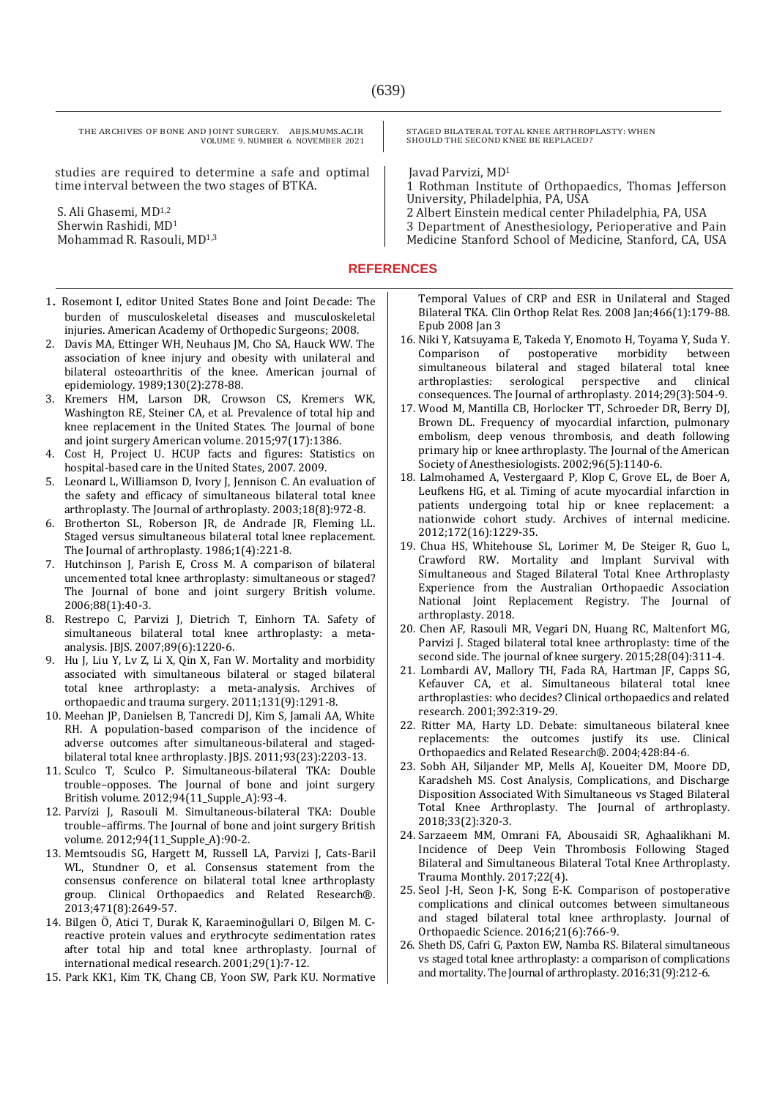studies are required to determine a safe and optimal time interval between the two stages of BTKA.

S. Ali Ghasemi, MD1,2 Sherwin Rashidi, MD<sup>1</sup> Mohammad R. Rasouli, MD1,3

- 1. Rosemont I, editor United States Bone and Joint Decade: The burden of musculoskeletal diseases and musculoskeletal injuries. American Academy of Orthopedic Surgeons; 2008.
- 2. Davis MA, Ettinger WH, Neuhaus JM, Cho SA, Hauck WW. The association of knee injury and obesity with unilateral and bilateral osteoarthritis of the knee. American journal of epidemiology. 1989;130(2):278-88.
- 3. Kremers HM, Larson DR, Crowson CS, Kremers WK, Washington RE, Steiner CA, et al. Prevalence of total hip and knee replacement in the United States. The Journal of bone and joint surgery American volume. 2015;97(17):1386.
- 4. Cost H, Project U. HCUP facts and figures: Statistics on hospital-based care in the United States, 2007. 2009.
- 5. Leonard L, Williamson D, Ivory J, Jennison C. An evaluation of the safety and efficacy of simultaneous bilateral total knee arthroplasty. The Journal of arthroplasty. 2003;18(8):972-8.
- 6. Brotherton SL, Roberson JR, de Andrade JR, Fleming LL. Staged versus simultaneous bilateral total knee replacement. The Journal of arthroplasty. 1986;1(4):221-8.
- 7. Hutchinson J, Parish E, Cross M. A comparison of bilateral uncemented total knee arthroplasty: simultaneous or staged? The Journal of bone and joint surgery British volume. 2006;88(1):40-3.
- 8. Restrepo C, Parvizi J, Dietrich T, Einhorn TA. Safety of simultaneous bilateral total knee arthroplasty: a metaanalysis. JBJS. 2007;89(6):1220-6.
- 9. Hu J, Liu Y, Lv Z, Li X, Qin X, Fan W. Mortality and morbidity associated with simultaneous bilateral or staged bilateral total knee arthroplasty: a meta-analysis. Archives of orthopaedic and trauma surgery. 2011;131(9):1291-8.
- 10. Meehan JP, Danielsen B, Tancredi DJ, Kim S, Jamali AA, White RH. A population-based comparison of the incidence of adverse outcomes after simultaneous-bilateral and stagedbilateral total knee arthroplasty. JBJS. 2011;93(23):2203-13.
- 11. Sculco T, Sculco P. Simultaneous-bilateral TKA: Double trouble–opposes. The Journal of bone and joint surgery British volume. 2012;94(11\_Supple\_A):93-4.
- 12. Parvizi J, Rasouli M. Simultaneous-bilateral TKA: Double trouble–affirms. The Journal of bone and joint surgery British volume. 2012;94(11\_Supple\_A):90-2.
- 13. Memtsoudis SG, Hargett M, Russell LA, Parvizi J, Cats-Baril WL, Stundner O, et al. Consensus statement from the consensus conference on bilateral total knee arthroplasty group. Clinical Orthopaedics and Related Research®. 2013;471(8):2649-57.
- 14. Bilgen Ö, Atici T, Durak K, Karaeminoğullari O, Bilgen M. Creactive protein values and erythrocyte sedimentation rates after total hip and total knee arthroplasty. Journal of international medical research. 2001;29(1):7-12.
- 15. Park KK1, Kim TK, Chang CB, Yoon SW, Park KU. Normative

STAGED BILATERAL TOTAL KNEE ARTHROPLASTY: WHEN SHOULD THE SECOND KNEE BE REPLACED?

Javad Parvizi, MD<sup>1</sup>

1 Rothman Institute of Orthopaedics, Thomas Jefferson University, Philadelphia, PA, USA

2 Albert Einstein medical center Philadelphia, PA, USA

3 Department of Anesthesiology, Perioperative and Pain Medicine Stanford School of Medicine, Stanford, CA, USA

**REFERENCES**

Temporal Values of CRP and ESR in Unilateral and Staged Bilateral TKA. Clin Orthop Relat Res. 2008 Jan;466(1):179-88. Epub 2008 Jan 3

- 16. Niki Y, Katsuyama E, Takeda Y, Enomoto H, Toyama Y, Suda Y. Comparison of postoperative morbidity between simultaneous bilateral and staged bilateral total knee arthroplasties: serological perspective and clinical consequences. The Journal of arthroplasty. 2014;29(3):504-9.
- 17. Wood M, Mantilla CB, Horlocker TT, Schroeder DR, Berry DJ, Brown DL. Frequency of myocardial infarction, pulmonary embolism, deep venous thrombosis, and death following primary hip or knee arthroplasty. The Journal of the American Society of Anesthesiologists. 2002;96(5):1140-6.
- 18. Lalmohamed A, Vestergaard P, Klop C, Grove EL, de Boer A, Leufkens HG, et al. Timing of acute myocardial infarction in patients undergoing total hip or knee replacement: a nationwide cohort study. Archives of internal medicine. 2012;172(16):1229-35.
- 19. Chua HS, Whitehouse SL, Lorimer M, De Steiger R, Guo L, Crawford RW. Mortality and Implant Survival with Simultaneous and Staged Bilateral Total Knee Arthroplasty Experience from the Australian Orthopaedic Association National Joint Replacement Registry. The Journal of arthroplasty. 2018.
- 20. Chen AF, Rasouli MR, Vegari DN, Huang RC, Maltenfort MG, Parvizi J. Staged bilateral total knee arthroplasty: time of the second side. The journal of knee surgery. 2015;28(04):311-4.
- 21. Lombardi AV, Mallory TH, Fada RA, Hartman JF, Capps SG, Kefauver CA, et al. Simultaneous bilateral total knee arthroplasties: who decides? Clinical orthopaedics and related research. 2001;392:319-29.
- 22. Ritter MA, Harty LD. Debate: simultaneous bilateral knee replacements: the outcomes justify its use. Clinical Orthopaedics and Related Research®. 2004;428:84-6.
- 23. Sobh AH, Siljander MP, Mells AJ, Koueiter DM, Moore DD, Karadsheh MS. Cost Analysis, Complications, and Discharge Disposition Associated With Simultaneous vs Staged Bilateral Total Knee Arthroplasty. The Journal of arthroplasty. 2018;33(2):320-3.
- 24. Sarzaeem MM, Omrani FA, Abousaidi SR, Aghaalikhani M. Incidence of Deep Vein Thrombosis Following Staged Bilateral and Simultaneous Bilateral Total Knee Arthroplasty. Trauma Monthly. 2017;22(4).
- 25. Seol J-H, Seon J-K, Song E-K. Comparison of postoperative complications and clinical outcomes between simultaneous and staged bilateral total knee arthroplasty. Journal of Orthopaedic Science. 2016;21(6):766-9.
- 26. Sheth DS, Cafri G, Paxton EW, Namba RS. Bilateral simultaneous vs staged total knee arthroplasty: a comparison of complications and mortality. The Journal of arthroplasty. 2016;31(9):212-6.